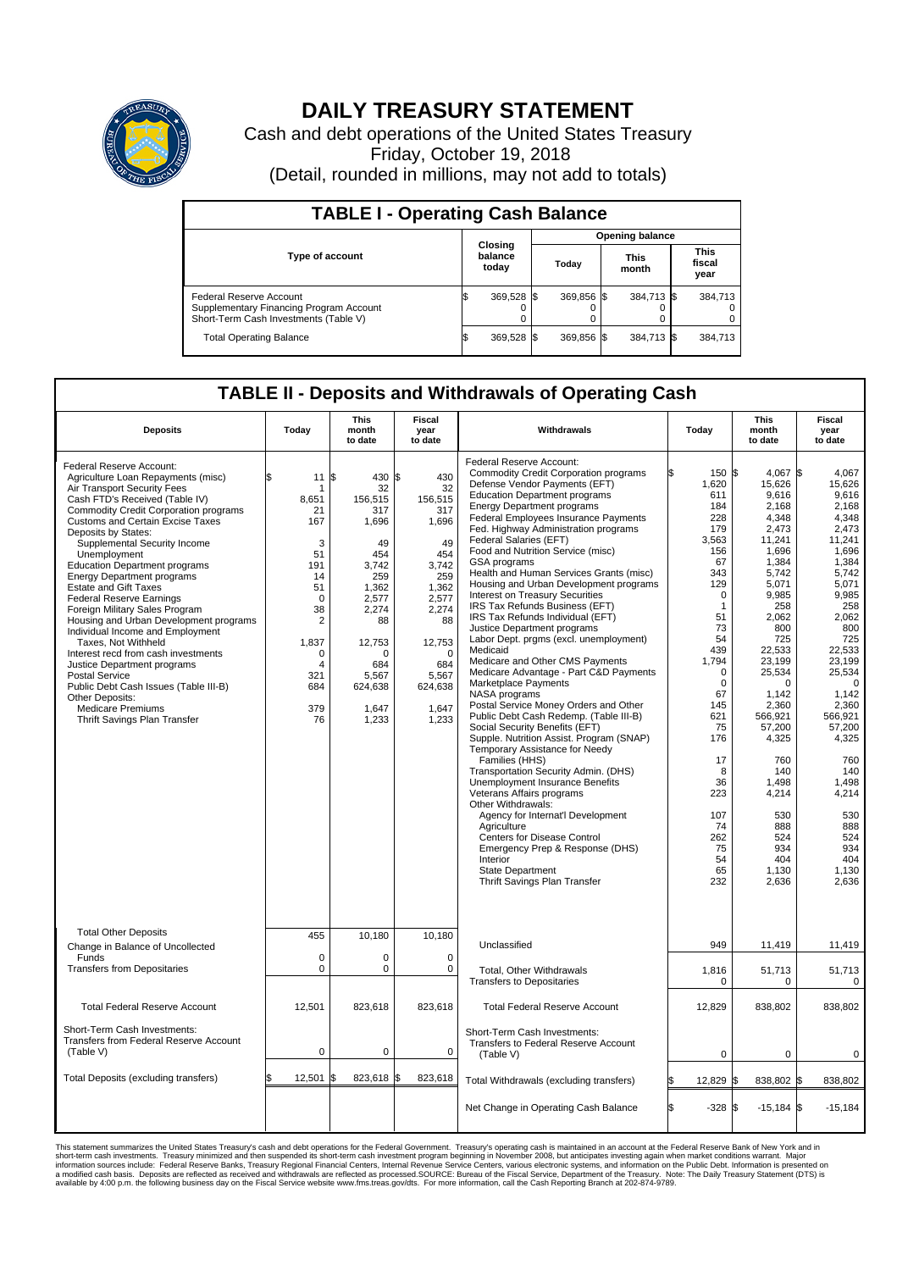

## **DAILY TREASURY STATEMENT**

Cash and debt operations of the United States Treasury Friday, October 19, 2018 (Detail, rounded in millions, may not add to totals)

| <b>TABLE I - Operating Cash Balance</b>                                                                     |                             |            |                        |            |                      |            |                               |         |  |  |
|-------------------------------------------------------------------------------------------------------------|-----------------------------|------------|------------------------|------------|----------------------|------------|-------------------------------|---------|--|--|
|                                                                                                             | Closing<br>balance<br>today |            | <b>Opening balance</b> |            |                      |            |                               |         |  |  |
| Type of account                                                                                             |                             |            | Today                  |            | <b>This</b><br>month |            | <b>This</b><br>fiscal<br>year |         |  |  |
| Federal Reserve Account<br>Supplementary Financing Program Account<br>Short-Term Cash Investments (Table V) |                             | 369,528 \$ |                        | 369,856 \$ |                      | 384,713 \$ |                               | 384,713 |  |  |
| <b>Total Operating Balance</b>                                                                              | ß.                          | 369,528 \$ |                        | 369,856 \$ |                      | 384,713 \$ |                               | 384,713 |  |  |

## **TABLE II - Deposits and Withdrawals of Operating Cash**

| <b>Deposits</b>                                                                                                                                                                                                                                                                                                                                                                                                                                                                                                                                                                                                                                                                                                                                                                                   | Today                                                                                                                                                       | <b>This</b><br>month<br>to date                                                                                                                                     | <b>Fiscal</b><br>year<br>to date                                                                                                                                      | Withdrawals                                                                                                                                                                                                                                                                                                                                                                                                                                                                                                                                                                                                                                                                                                                                                                                                                                                                                                                                                                                                                                                                                                                                                                                                                                                                                                    | Today                                                                                                                                                                                                                                                                                   | This<br>month<br>to date                                                                                                                                                                                                                                                                                                   | Fiscal<br>year<br>to date                                                                                                                                                                                                                                                                                                  |
|---------------------------------------------------------------------------------------------------------------------------------------------------------------------------------------------------------------------------------------------------------------------------------------------------------------------------------------------------------------------------------------------------------------------------------------------------------------------------------------------------------------------------------------------------------------------------------------------------------------------------------------------------------------------------------------------------------------------------------------------------------------------------------------------------|-------------------------------------------------------------------------------------------------------------------------------------------------------------|---------------------------------------------------------------------------------------------------------------------------------------------------------------------|-----------------------------------------------------------------------------------------------------------------------------------------------------------------------|----------------------------------------------------------------------------------------------------------------------------------------------------------------------------------------------------------------------------------------------------------------------------------------------------------------------------------------------------------------------------------------------------------------------------------------------------------------------------------------------------------------------------------------------------------------------------------------------------------------------------------------------------------------------------------------------------------------------------------------------------------------------------------------------------------------------------------------------------------------------------------------------------------------------------------------------------------------------------------------------------------------------------------------------------------------------------------------------------------------------------------------------------------------------------------------------------------------------------------------------------------------------------------------------------------------|-----------------------------------------------------------------------------------------------------------------------------------------------------------------------------------------------------------------------------------------------------------------------------------------|----------------------------------------------------------------------------------------------------------------------------------------------------------------------------------------------------------------------------------------------------------------------------------------------------------------------------|----------------------------------------------------------------------------------------------------------------------------------------------------------------------------------------------------------------------------------------------------------------------------------------------------------------------------|
| Federal Reserve Account:<br>Agriculture Loan Repayments (misc)<br>Air Transport Security Fees<br>Cash FTD's Received (Table IV)<br>Commodity Credit Corporation programs<br>Customs and Certain Excise Taxes<br>Deposits by States:<br>Supplemental Security Income<br>Unemployment<br><b>Education Department programs</b><br><b>Energy Department programs</b><br><b>Estate and Gift Taxes</b><br><b>Federal Reserve Earnings</b><br>Foreign Military Sales Program<br>Housing and Urban Development programs<br>Individual Income and Employment<br>Taxes, Not Withheld<br>Interest recd from cash investments<br>Justice Department programs<br><b>Postal Service</b><br>Public Debt Cash Issues (Table III-B)<br>Other Deposits:<br><b>Medicare Premiums</b><br>Thrift Savings Plan Transfer | 11<br>\$<br>8.651<br>21<br>167<br>3<br>51<br>191<br>14<br>51<br>$\mathbf 0$<br>38<br>$\overline{2}$<br>1,837<br>$\mathbf 0$<br>4<br>321<br>684<br>379<br>76 | l\$<br>430 \$<br>32<br>156,515<br>317<br>1,696<br>49<br>454<br>3.742<br>259<br>1,362<br>2,577<br>2.274<br>88<br>12,753<br>684<br>5,567<br>624,638<br>1,647<br>1,233 | 430<br>32<br>156,515<br>317<br>1,696<br>49<br>454<br>3.742<br>259<br>1,362<br>2,577<br>2.274<br>88<br>12,753<br>$\Omega$<br>684<br>5,567<br>624,638<br>1,647<br>1,233 | Federal Reserve Account:<br><b>Commodity Credit Corporation programs</b><br>Defense Vendor Payments (EFT)<br><b>Education Department programs</b><br><b>Energy Department programs</b><br>Federal Employees Insurance Payments<br>Fed. Highway Administration programs<br>Federal Salaries (EFT)<br>Food and Nutrition Service (misc)<br>GSA programs<br>Health and Human Services Grants (misc)<br>Housing and Urban Development programs<br>Interest on Treasury Securities<br>IRS Tax Refunds Business (EFT)<br>IRS Tax Refunds Individual (EFT)<br>Justice Department programs<br>Labor Dept. prgms (excl. unemployment)<br>Medicaid<br>Medicare and Other CMS Payments<br>Medicare Advantage - Part C&D Payments<br>Marketplace Payments<br>NASA programs<br>Postal Service Money Orders and Other<br>Public Debt Cash Redemp. (Table III-B)<br>Social Security Benefits (EFT)<br>Supple. Nutrition Assist. Program (SNAP)<br>Temporary Assistance for Needy<br>Families (HHS)<br>Transportation Security Admin. (DHS)<br><b>Unemployment Insurance Benefits</b><br>Veterans Affairs programs<br>Other Withdrawals:<br>Agency for Internat'l Development<br>Agriculture<br>Centers for Disease Control<br>Emergency Prep & Response (DHS)<br>Interior<br>State Department<br>Thrift Savings Plan Transfer | 150 \$<br>ß.<br>1,620<br>611<br>184<br>228<br>179<br>3,563<br>156<br>67<br>343<br>129<br>$\mathbf 0$<br>$\mathbf{1}$<br>51<br>73<br>54<br>439<br>1,794<br>$\mathbf 0$<br>$\Omega$<br>67<br>145<br>621<br>75<br>176<br>17<br>8<br>36<br>223<br>107<br>74<br>262<br>75<br>54<br>65<br>232 | 4.067 \$<br>15,626<br>9,616<br>2,168<br>4.348<br>2,473<br>11,241<br>1,696<br>1.384<br>5,742<br>5,071<br>9,985<br>258<br>2,062<br>800<br>725<br>22,533<br>23,199<br>25,534<br>$\Omega$<br>1,142<br>2,360<br>566,921<br>57,200<br>4,325<br>760<br>140<br>1.498<br>4,214<br>530<br>888<br>524<br>934<br>404<br>1,130<br>2,636 | 4.067<br>15,626<br>9,616<br>2.168<br>4.348<br>2,473<br>11.241<br>1,696<br>1,384<br>5,742<br>5,071<br>9,985<br>258<br>2.062<br>800<br>725<br>22,533<br>23.199<br>25,534<br>$\mathbf 0$<br>1,142<br>2,360<br>566.921<br>57,200<br>4,325<br>760<br>140<br>1,498<br>4,214<br>530<br>888<br>524<br>934<br>404<br>1,130<br>2.636 |
| <b>Total Other Deposits</b><br>Change in Balance of Uncollected                                                                                                                                                                                                                                                                                                                                                                                                                                                                                                                                                                                                                                                                                                                                   | 455                                                                                                                                                         | 10,180                                                                                                                                                              | 10,180                                                                                                                                                                | Unclassified                                                                                                                                                                                                                                                                                                                                                                                                                                                                                                                                                                                                                                                                                                                                                                                                                                                                                                                                                                                                                                                                                                                                                                                                                                                                                                   | 949                                                                                                                                                                                                                                                                                     | 11,419                                                                                                                                                                                                                                                                                                                     | 11,419                                                                                                                                                                                                                                                                                                                     |
| Funds<br><b>Transfers from Depositaries</b>                                                                                                                                                                                                                                                                                                                                                                                                                                                                                                                                                                                                                                                                                                                                                       | $\mathbf 0$<br>$\pmb{0}$                                                                                                                                    | $\mathbf 0$<br>$\pmb{0}$                                                                                                                                            | $\Omega$<br>0                                                                                                                                                         | Total, Other Withdrawals<br><b>Transfers to Depositaries</b>                                                                                                                                                                                                                                                                                                                                                                                                                                                                                                                                                                                                                                                                                                                                                                                                                                                                                                                                                                                                                                                                                                                                                                                                                                                   | 1,816<br>0                                                                                                                                                                                                                                                                              | 51,713<br>$\mathbf 0$                                                                                                                                                                                                                                                                                                      | 51,713<br>$\mathbf 0$                                                                                                                                                                                                                                                                                                      |
| <b>Total Federal Reserve Account</b>                                                                                                                                                                                                                                                                                                                                                                                                                                                                                                                                                                                                                                                                                                                                                              | 12,501                                                                                                                                                      | 823,618                                                                                                                                                             | 823,618                                                                                                                                                               | <b>Total Federal Reserve Account</b>                                                                                                                                                                                                                                                                                                                                                                                                                                                                                                                                                                                                                                                                                                                                                                                                                                                                                                                                                                                                                                                                                                                                                                                                                                                                           | 12,829                                                                                                                                                                                                                                                                                  | 838,802                                                                                                                                                                                                                                                                                                                    | 838,802                                                                                                                                                                                                                                                                                                                    |
| Short-Term Cash Investments:<br><b>Transfers from Federal Reserve Account</b><br>(Table V)                                                                                                                                                                                                                                                                                                                                                                                                                                                                                                                                                                                                                                                                                                        | 0                                                                                                                                                           | $\mathbf 0$                                                                                                                                                         | 0                                                                                                                                                                     | Short-Term Cash Investments:<br>Transfers to Federal Reserve Account<br>(Table V)                                                                                                                                                                                                                                                                                                                                                                                                                                                                                                                                                                                                                                                                                                                                                                                                                                                                                                                                                                                                                                                                                                                                                                                                                              | $\mathbf 0$                                                                                                                                                                                                                                                                             | $\mathbf 0$                                                                                                                                                                                                                                                                                                                | 0                                                                                                                                                                                                                                                                                                                          |
| Total Deposits (excluding transfers)                                                                                                                                                                                                                                                                                                                                                                                                                                                                                                                                                                                                                                                                                                                                                              | 12.501                                                                                                                                                      | 823,618<br>l\$                                                                                                                                                      | \$<br>823,618                                                                                                                                                         | Total Withdrawals (excluding transfers)                                                                                                                                                                                                                                                                                                                                                                                                                                                                                                                                                                                                                                                                                                                                                                                                                                                                                                                                                                                                                                                                                                                                                                                                                                                                        | 12,829 \$                                                                                                                                                                                                                                                                               | 838,802 \$                                                                                                                                                                                                                                                                                                                 | 838,802                                                                                                                                                                                                                                                                                                                    |
|                                                                                                                                                                                                                                                                                                                                                                                                                                                                                                                                                                                                                                                                                                                                                                                                   |                                                                                                                                                             |                                                                                                                                                                     |                                                                                                                                                                       | Net Change in Operating Cash Balance                                                                                                                                                                                                                                                                                                                                                                                                                                                                                                                                                                                                                                                                                                                                                                                                                                                                                                                                                                                                                                                                                                                                                                                                                                                                           | l\$<br>$-328S$                                                                                                                                                                                                                                                                          | $-15,184$ \$                                                                                                                                                                                                                                                                                                               | $-15,184$                                                                                                                                                                                                                                                                                                                  |

This statement summarizes the United States Treasury's cash and debt operations for the Federal Government. Treasury soperating in November 2008, but anticiarded in a cocount at the Federal Reserve Bank of New York and in<br>